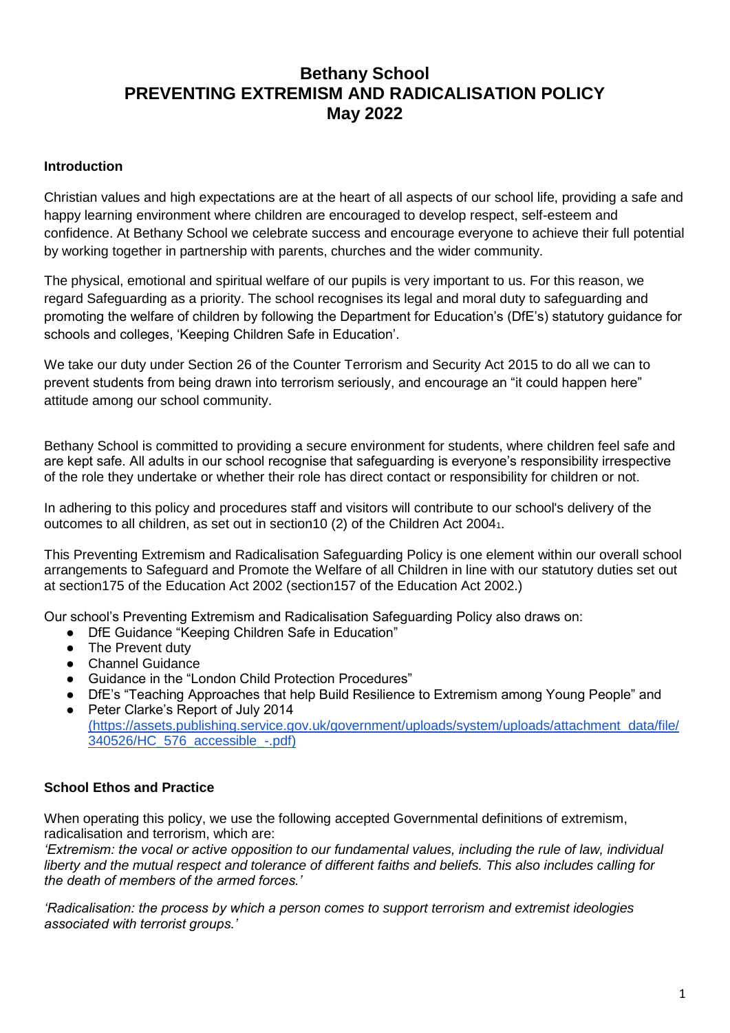# **Bethany School PREVENTING EXTREMISM AND RADICALISATION POLICY May 2022**

#### **Introduction**

Christian values and high expectations are at the heart of all aspects of our school life, providing a safe and happy learning environment where children are encouraged to develop respect, self-esteem and confidence. At Bethany School we celebrate success and encourage everyone to achieve their full potential by working together in partnership with parents, churches and the wider community.

The physical, emotional and spiritual welfare of our pupils is very important to us. For this reason, we regard Safeguarding as a priority. The school recognises its legal and moral duty to safeguarding and promoting the welfare of children by following the Department for Education's (DfE's) statutory guidance for schools and colleges, 'Keeping Children Safe in Education'.

We take our duty under Section 26 of the Counter Terrorism and Security Act 2015 to do all we can to prevent students from being drawn into terrorism seriously, and encourage an "it could happen here" attitude among our school community.

Bethany School is committed to providing a secure environment for students, where children feel safe and are kept safe. All adults in our school recognise that safeguarding is everyone's responsibility irrespective of the role they undertake or whether their role has direct contact or responsibility for children or not.

In adhering to this policy and procedures staff and visitors will contribute to our school's delivery of the outcomes to all children, as set out in section10 (2) of the Children Act 20041.

This Preventing Extremism and Radicalisation Safeguarding Policy is one element within our overall school arrangements to Safeguard and Promote the Welfare of all Children in line with our statutory duties set out at section175 of the Education Act 2002 (section157 of the Education Act 2002.)

Our school's Preventing Extremism and Radicalisation Safeguarding Policy also draws on:

- DfE Guidance "Keeping Children Safe in Education"
- The Prevent duty
- Channel Guidance
- Guidance in the "London Child Protection Procedures"
- DfE's "Teaching Approaches that help Build Resilience to Extremism among Young People" and
- Peter Clarke's Report of July 2014 [\(https://assets.publishing.service.gov.uk/government/uploads/system/uploads/attachment\\_data/file/](https://assets.publishing.service.gov.uk/government/uploads/system/uploads/attachment_data/file/340526/HC_576_accessible_-.pdf)) [340526/HC\\_576\\_accessible\\_-.pdf\)](https://assets.publishing.service.gov.uk/government/uploads/system/uploads/attachment_data/file/340526/HC_576_accessible_-.pdf))

#### **School Ethos and Practice**

When operating this policy, we use the following accepted Governmental definitions of extremism, radicalisation and terrorism, which are:

*'Extremism: the vocal or active opposition to our fundamental values, including the rule of law, individual liberty and the mutual respect and tolerance of different faiths and beliefs. This also includes calling for the death of members of the armed forces.'*

*'Radicalisation: the process by which a person comes to support terrorism and extremist ideologies associated with terrorist groups.'*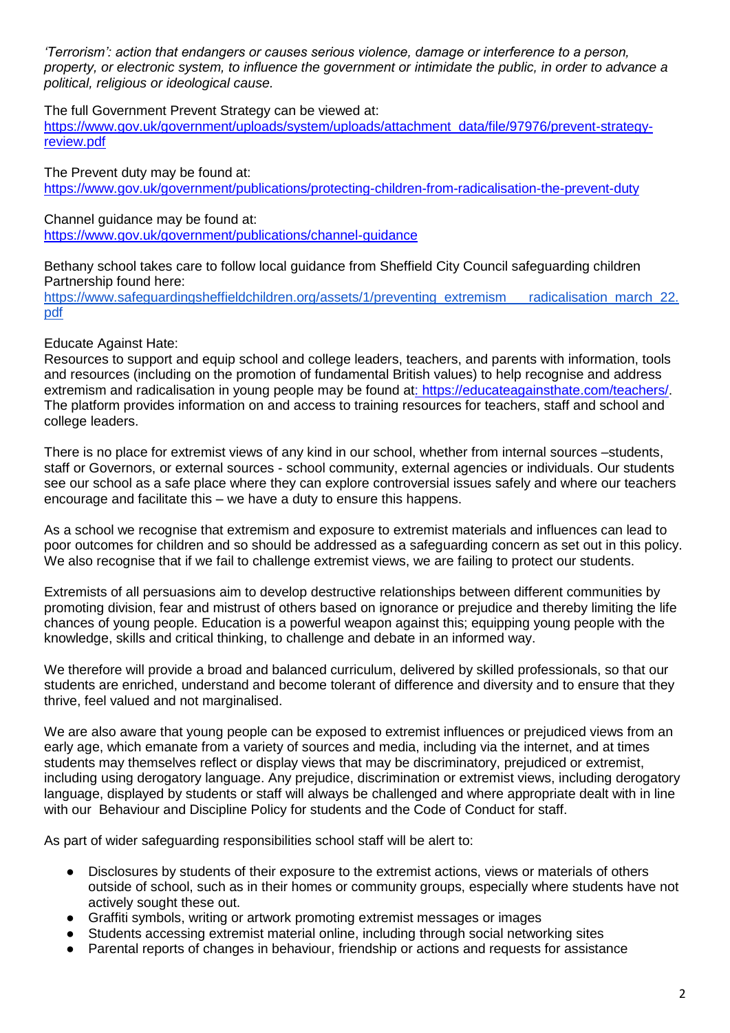*'Terrorism': action that endangers or causes serious violence, damage or interference to a person, property, or electronic system, to influence the government or intimidate the public, in order to advance a political, religious or ideological cause.* 

The full Government Prevent Strategy can be viewed at:

[https://www.gov.uk/government/uploads/system/uploads/attachment\\_data/file/97976/prevent-strategy](https://www.gov.uk/government/uploads/system/uploads/attachment_data/file/97976/prevent-strategy-review.pdf)[review.pdf](https://www.gov.uk/government/uploads/system/uploads/attachment_data/file/97976/prevent-strategy-review.pdf)

The Prevent duty may be found at: <https://www.gov.uk/government/publications/protecting-children-from-radicalisation-the-prevent-duty>

Channel guidance may be found at: <https://www.gov.uk/government/publications/channel-guidance>

Bethany school takes care to follow local guidance from Sheffield City Council safeguarding children Partnership found here:

[https://www.safeguardingsheffieldchildren.org/assets/1/preventing\\_extremism\\_\\_\\_radicalisation\\_march\\_22.](https://www.safeguardingsheffieldchildren.org/assets/1/preventing_extremism___radicalisation_march_22.pdf) [pdf](https://www.safeguardingsheffieldchildren.org/assets/1/preventing_extremism___radicalisation_march_22.pdf)

#### Educate Against Hate:

Resources to support and equip school and college leaders, teachers, and parents with information, tools and resources (including on the promotion of fundamental British values) to help recognise and address extremism and radicalisation in young people may be found a[t: https://educateagainsthate.com/teachers/.](about:blank) The platform provides information on and access to training resources for teachers, staff and school and college leaders.

There is no place for extremist views of any kind in our school, whether from internal sources –students, staff or Governors, or external sources - school community, external agencies or individuals. Our students see our school as a safe place where they can explore controversial issues safely and where our teachers encourage and facilitate this – we have a duty to ensure this happens.

As a school we recognise that extremism and exposure to extremist materials and influences can lead to poor outcomes for children and so should be addressed as a safeguarding concern as set out in this policy. We also recognise that if we fail to challenge extremist views, we are failing to protect our students.

Extremists of all persuasions aim to develop destructive relationships between different communities by promoting division, fear and mistrust of others based on ignorance or prejudice and thereby limiting the life chances of young people. Education is a powerful weapon against this; equipping young people with the knowledge, skills and critical thinking, to challenge and debate in an informed way.

We therefore will provide a broad and balanced curriculum, delivered by skilled professionals, so that our students are enriched, understand and become tolerant of difference and diversity and to ensure that they thrive, feel valued and not marginalised.

We are also aware that young people can be exposed to extremist influences or prejudiced views from an early age, which emanate from a variety of sources and media, including via the internet, and at times students may themselves reflect or display views that may be discriminatory, prejudiced or extremist, including using derogatory language. Any prejudice, discrimination or extremist views, including derogatory language, displayed by students or staff will always be challenged and where appropriate dealt with in line with our Behaviour and Discipline Policy for students and the Code of Conduct for staff.

As part of wider safeguarding responsibilities school staff will be alert to:

- Disclosures by students of their exposure to the extremist actions, views or materials of others outside of school, such as in their homes or community groups, especially where students have not actively sought these out.
- Graffiti symbols, writing or artwork promoting extremist messages or images
- Students accessing extremist material online, including through social networking sites
- Parental reports of changes in behaviour, friendship or actions and requests for assistance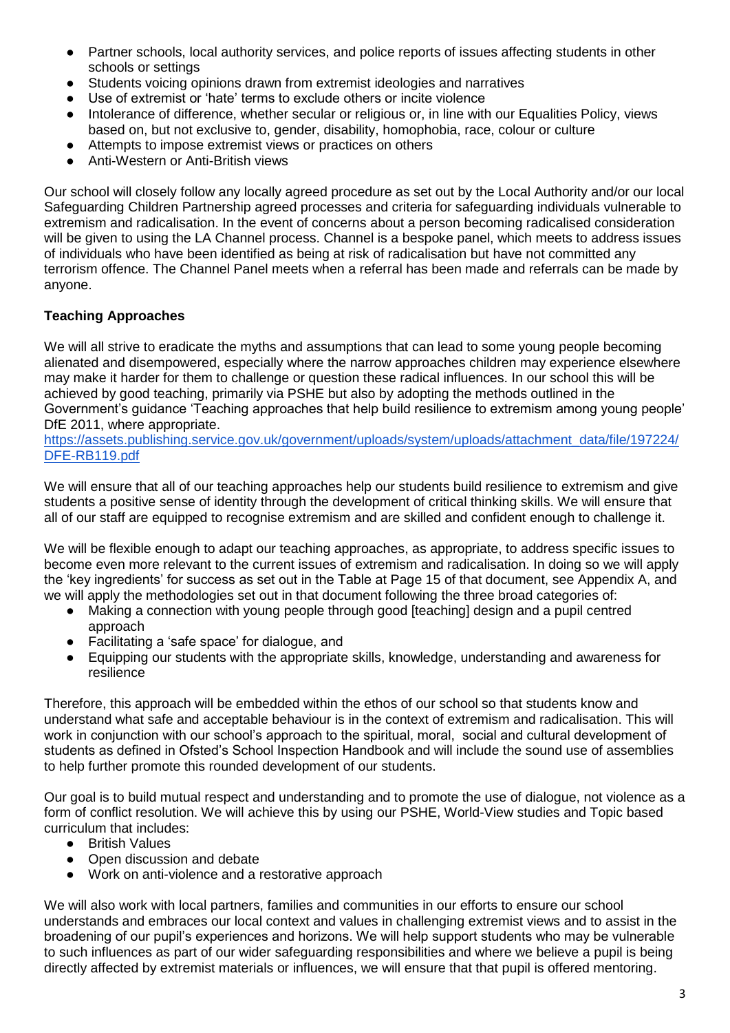- Partner schools, local authority services, and police reports of issues affecting students in other schools or settings
- Students voicing opinions drawn from extremist ideologies and narratives
- Use of extremist or 'hate' terms to exclude others or incite violence
- Intolerance of difference, whether secular or religious or, in line with our Equalities Policy, views based on, but not exclusive to, gender, disability, homophobia, race, colour or culture
- Attempts to impose extremist views or practices on others
- Anti-Western or Anti-British views

Our school will closely follow any locally agreed procedure as set out by the Local Authority and/or our local Safeguarding Children Partnership agreed processes and criteria for safeguarding individuals vulnerable to extremism and radicalisation. In the event of concerns about a person becoming radicalised consideration will be given to using the LA Channel process. Channel is a bespoke panel, which meets to address issues of individuals who have been identified as being at risk of radicalisation but have not committed any terrorism offence. The Channel Panel meets when a referral has been made and referrals can be made by anyone.

# **Teaching Approaches**

We will all strive to eradicate the myths and assumptions that can lead to some young people becoming alienated and disempowered, especially where the narrow approaches children may experience elsewhere may make it harder for them to challenge or question these radical influences. In our school this will be achieved by good teaching, primarily via PSHE but also by adopting the methods outlined in the Government's guidance 'Teaching approaches that help build resilience to extremism among young people' DfE 2011, where appropriate.

[https://assets.publishing.service.gov.uk/government/uploads/system/uploads/attachment\\_data/file/197224/](https://assets.publishing.service.gov.uk/government/uploads/system/uploads/attachment_data/file/197224/DFE-RB119.pdf) [DFE-RB119.pdf](https://assets.publishing.service.gov.uk/government/uploads/system/uploads/attachment_data/file/197224/DFE-RB119.pdf)

We will ensure that all of our teaching approaches help our students build resilience to extremism and give students a positive sense of identity through the development of critical thinking skills. We will ensure that all of our staff are equipped to recognise extremism and are skilled and confident enough to challenge it.

We will be flexible enough to adapt our teaching approaches, as appropriate, to address specific issues to become even more relevant to the current issues of extremism and radicalisation. In doing so we will apply the 'key ingredients' for success as set out in the Table at Page 15 of that document, see Appendix A, and we will apply the methodologies set out in that document following the three broad categories of:

- Making a connection with young people through good [teaching] design and a pupil centred approach
- Facilitating a 'safe space' for dialogue, and
- Equipping our students with the appropriate skills, knowledge, understanding and awareness for resilience

Therefore, this approach will be embedded within the ethos of our school so that students know and understand what safe and acceptable behaviour is in the context of extremism and radicalisation. This will work in conjunction with our school's approach to the spiritual, moral, social and cultural development of students as defined in Ofsted's School Inspection Handbook and will include the sound use of assemblies to help further promote this rounded development of our students.

Our goal is to build mutual respect and understanding and to promote the use of dialogue, not violence as a form of conflict resolution. We will achieve this by using our PSHE, World-View studies and Topic based curriculum that includes:

- British Values
- Open discussion and debate
- Work on anti-violence and a restorative approach

We will also work with local partners, families and communities in our efforts to ensure our school understands and embraces our local context and values in challenging extremist views and to assist in the broadening of our pupil's experiences and horizons. We will help support students who may be vulnerable to such influences as part of our wider safeguarding responsibilities and where we believe a pupil is being directly affected by extremist materials or influences, we will ensure that that pupil is offered mentoring.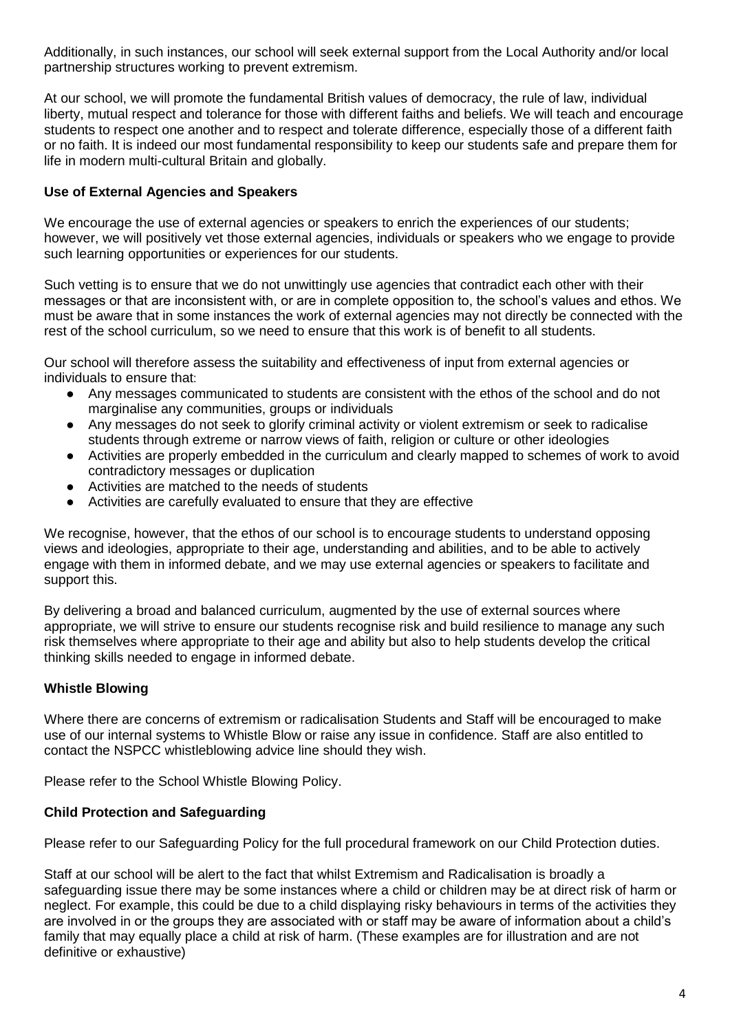Additionally, in such instances, our school will seek external support from the Local Authority and/or local partnership structures working to prevent extremism.

At our school, we will promote the fundamental British values of democracy, the rule of law, individual liberty, mutual respect and tolerance for those with different faiths and beliefs. We will teach and encourage students to respect one another and to respect and tolerate difference, especially those of a different faith or no faith. It is indeed our most fundamental responsibility to keep our students safe and prepare them for life in modern multi-cultural Britain and globally.

# **Use of External Agencies and Speakers**

We encourage the use of external agencies or speakers to enrich the experiences of our students; however, we will positively vet those external agencies, individuals or speakers who we engage to provide such learning opportunities or experiences for our students.

Such vetting is to ensure that we do not unwittingly use agencies that contradict each other with their messages or that are inconsistent with, or are in complete opposition to, the school's values and ethos. We must be aware that in some instances the work of external agencies may not directly be connected with the rest of the school curriculum, so we need to ensure that this work is of benefit to all students.

Our school will therefore assess the suitability and effectiveness of input from external agencies or individuals to ensure that:

- Any messages communicated to students are consistent with the ethos of the school and do not marginalise any communities, groups or individuals
- Any messages do not seek to glorify criminal activity or violent extremism or seek to radicalise students through extreme or narrow views of faith, religion or culture or other ideologies
- Activities are properly embedded in the curriculum and clearly mapped to schemes of work to avoid contradictory messages or duplication
- Activities are matched to the needs of students
- Activities are carefully evaluated to ensure that they are effective

We recognise, however, that the ethos of our school is to encourage students to understand opposing views and ideologies, appropriate to their age, understanding and abilities, and to be able to actively engage with them in informed debate, and we may use external agencies or speakers to facilitate and support this.

By delivering a broad and balanced curriculum, augmented by the use of external sources where appropriate, we will strive to ensure our students recognise risk and build resilience to manage any such risk themselves where appropriate to their age and ability but also to help students develop the critical thinking skills needed to engage in informed debate.

# **Whistle Blowing**

Where there are concerns of extremism or radicalisation Students and Staff will be encouraged to make use of our internal systems to Whistle Blow or raise any issue in confidence. Staff are also entitled to contact the NSPCC whistleblowing advice line should they wish.

Please refer to the School Whistle Blowing Policy.

# **Child Protection and Safeguarding**

Please refer to our Safeguarding Policy for the full procedural framework on our Child Protection duties.

Staff at our school will be alert to the fact that whilst Extremism and Radicalisation is broadly a safeguarding issue there may be some instances where a child or children may be at direct risk of harm or neglect. For example, this could be due to a child displaying risky behaviours in terms of the activities they are involved in or the groups they are associated with or staff may be aware of information about a child's family that may equally place a child at risk of harm. (These examples are for illustration and are not definitive or exhaustive)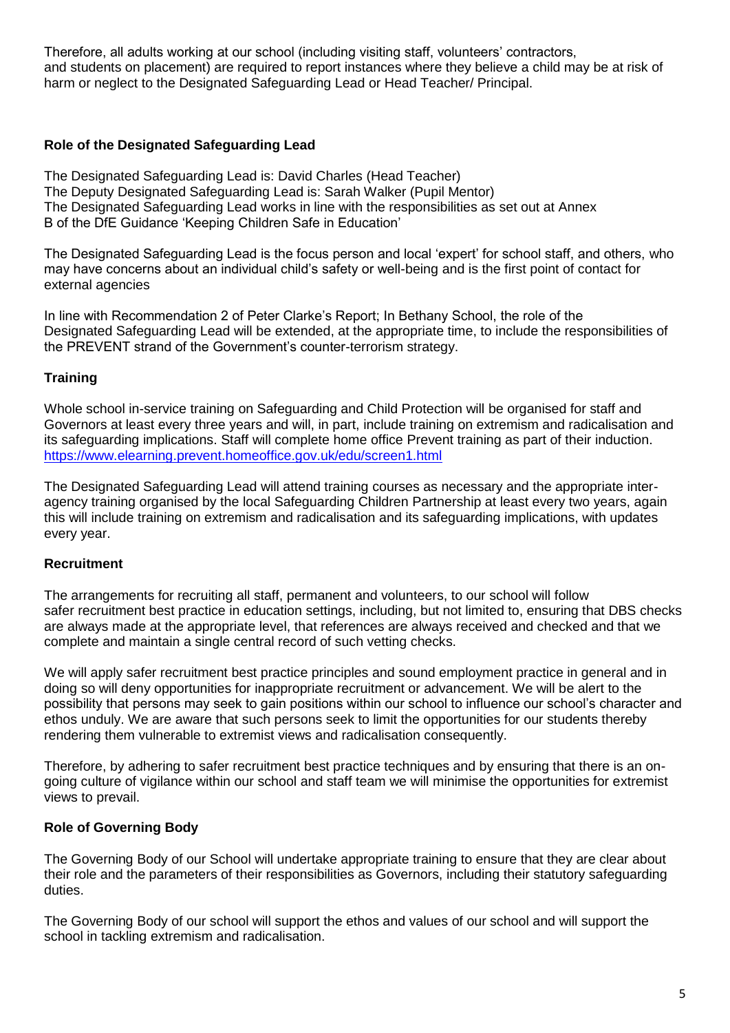Therefore, all adults working at our school (including visiting staff, volunteers' contractors, and students on placement) are required to report instances where they believe a child may be at risk of harm or neglect to the Designated Safeguarding Lead or Head Teacher/ Principal.

#### **Role of the Designated Safeguarding Lead**

The Designated Safeguarding Lead is: David Charles (Head Teacher) The Deputy Designated Safeguarding Lead is: Sarah Walker (Pupil Mentor) The Designated Safeguarding Lead works in line with the responsibilities as set out at Annex B of the DfE Guidance 'Keeping Children Safe in Education'

The Designated Safeguarding Lead is the focus person and local 'expert' for school staff, and others, who may have concerns about an individual child's safety or well-being and is the first point of contact for external agencies

In line with Recommendation 2 of Peter Clarke's Report; In Bethany School, the role of the Designated Safeguarding Lead will be extended, at the appropriate time, to include the responsibilities of the PREVENT strand of the Government's counter-terrorism strategy.

# **Training**

Whole school in-service training on Safeguarding and Child Protection will be organised for staff and Governors at least every three years and will, in part, include training on extremism and radicalisation and its safeguarding implications. Staff will complete home office Prevent training as part of their induction. <https://www.elearning.prevent.homeoffice.gov.uk/edu/screen1.html>

The Designated Safeguarding Lead will attend training courses as necessary and the appropriate interagency training organised by the local Safeguarding Children Partnership at least every two years, again this will include training on extremism and radicalisation and its safeguarding implications, with updates every year.

# **Recruitment**

The arrangements for recruiting all staff, permanent and volunteers, to our school will follow safer recruitment best practice in education settings, including, but not limited to, ensuring that DBS checks are always made at the appropriate level, that references are always received and checked and that we complete and maintain a single central record of such vetting checks.

We will apply safer recruitment best practice principles and sound employment practice in general and in doing so will deny opportunities for inappropriate recruitment or advancement. We will be alert to the possibility that persons may seek to gain positions within our school to influence our school's character and ethos unduly. We are aware that such persons seek to limit the opportunities for our students thereby rendering them vulnerable to extremist views and radicalisation consequently.

Therefore, by adhering to safer recruitment best practice techniques and by ensuring that there is an ongoing culture of vigilance within our school and staff team we will minimise the opportunities for extremist views to prevail.

# **Role of Governing Body**

The Governing Body of our School will undertake appropriate training to ensure that they are clear about their role and the parameters of their responsibilities as Governors, including their statutory safeguarding duties.

The Governing Body of our school will support the ethos and values of our school and will support the school in tackling extremism and radicalisation.